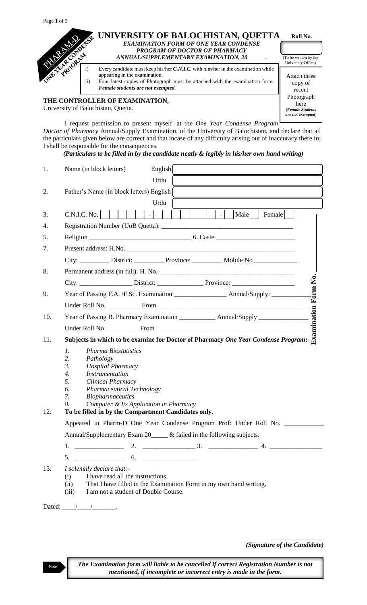| Page 1 | $\Omega$<br>$\mathbf{L}$ |
|--------|--------------------------|
|--------|--------------------------|



University of Balochistan, Quetta.

I request permission to present myself at the *One Year Condense Program Doctor of Pharmacy* Annual/Supply Examination, of the University of Balochistan, and declare that all the particulars given below are correct and that incase of any difficulty arising out of inaccuracy there in; I shall be responsible for the consequences.

*(Particulars to be filled in by the candidate neatly & legibly in his/her own hand writing)*

| 1.  | English<br>Name (in block letters)                                                                                                                                                                   |  |
|-----|------------------------------------------------------------------------------------------------------------------------------------------------------------------------------------------------------|--|
|     | Urdu                                                                                                                                                                                                 |  |
| 2.  | Father's Name (in block letters) English                                                                                                                                                             |  |
|     | Urdu                                                                                                                                                                                                 |  |
| 3.  | Male<br>C.N.I.C. No.<br>Female<br>$\sim$ 1.0<br>$\overline{\phantom{a}}$                                                                                                                             |  |
| 4.  |                                                                                                                                                                                                      |  |
| 5.  |                                                                                                                                                                                                      |  |
| 7.  |                                                                                                                                                                                                      |  |
|     |                                                                                                                                                                                                      |  |
| 8.  |                                                                                                                                                                                                      |  |
|     |                                                                                                                                                                                                      |  |
| 9.  | Form No.<br>Year of Passing F.A. /F.Sc. Examination _______________________ Annual/Supply: _________                                                                                                 |  |
|     |                                                                                                                                                                                                      |  |
| 10. |                                                                                                                                                                                                      |  |
|     |                                                                                                                                                                                                      |  |
| 11. |                                                                                                                                                                                                      |  |
|     | $\mathcal{I}$ .<br><b>Pharma Biostatistics</b>                                                                                                                                                       |  |
|     | 2.<br>Pathology<br>3.<br><b>Hospital Pharmacy</b>                                                                                                                                                    |  |
|     | $\overline{4}$ .<br><b>Instrumentation</b>                                                                                                                                                           |  |
|     | 5.<br>Clinical Pharmacy                                                                                                                                                                              |  |
|     | 6.<br><b>Pharmaceutical Technology</b>                                                                                                                                                               |  |
|     | 7.<br><b>Biopharmaceutics</b><br>8.                                                                                                                                                                  |  |
| 12. | Computer & Its Application in Pharmacy<br>To be filled in by the Compartment Candidates only.                                                                                                        |  |
|     | Appeared in Pharm-D One Year Condense Program Prof: Under Roll No.                                                                                                                                   |  |
|     | Annual/Supplementary Exam 20_____ & failed in the following subjects.                                                                                                                                |  |
|     |                                                                                                                                                                                                      |  |
|     | $5.$ $6.$ $7.$                                                                                                                                                                                       |  |
| 13. | I solemnly declare that:-<br>I have read all the instructions.<br>(i)<br>That I have filled in the Examination Form in my own hand writing.<br>(ii)<br>I am not a student of Double Course.<br>(iii) |  |
|     | Dated: $\_\_\_\_\_\_\_\_\_\_\_\_\_\_\_\_\_\_\_\_\_\_\_\_\_\_$                                                                                                                                        |  |

*(Signature of the Candidate)*

\_\_\_\_\_\_\_\_\_\_\_\_\_\_\_\_

*(Female Students are not exempted*)

The Examination form will liable to be cancelled if correct Registration Number is not *mentioned, if incomplete or incorrect entry is made in the form.*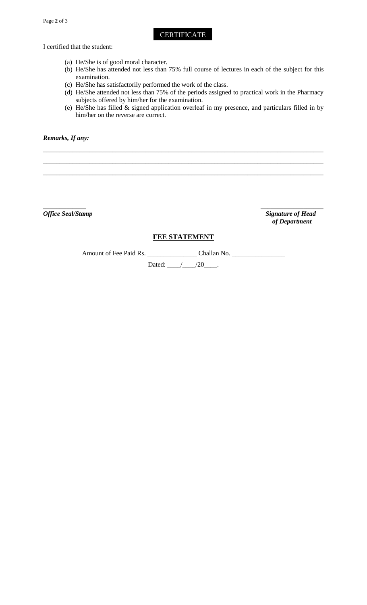**CERTIFICATE** 

I certified that the student:

- (a) He/She is of good moral character.
- (b) He/She has attended not less than 75% full course of lectures in each of the subject for this examination.
- (c) He/She has satisfactorily performed the work of the class.
- (d) He/She attended not less than 75% of the periods assigned to practical work in the Pharmacy subjects offered by him/her for the examination.
- (e) He/She has filled & signed application overleaf in my presence, and particulars filled in by him/her on the reverse are correct.

#### *Remarks, If any:*

*\_\_\_\_\_\_\_\_\_\_\_\_\_ \_\_\_\_\_\_\_\_\_\_\_\_\_\_\_\_\_\_\_ Office Seal/Stamp* Signature of Head  *of Department*

## **FEE STATEMENT**

*\_\_\_\_\_\_\_\_\_\_\_\_\_\_\_\_\_\_\_\_\_\_\_\_\_\_\_\_\_\_\_\_\_\_\_\_\_\_\_\_\_\_\_\_\_\_\_\_\_\_\_\_\_\_\_\_\_\_\_\_\_\_\_\_\_\_\_\_\_\_\_\_\_\_\_\_\_\_\_\_\_\_\_\_\_ \_\_\_\_\_\_\_\_\_\_\_\_\_\_\_\_\_\_\_\_\_\_\_\_\_\_\_\_\_\_\_\_\_\_\_\_\_\_\_\_\_\_\_\_\_\_\_\_\_\_\_\_\_\_\_\_\_\_\_\_\_\_\_\_\_\_\_\_\_\_\_\_\_\_\_\_\_\_\_\_\_\_\_\_\_ \_\_\_\_\_\_\_\_\_\_\_\_\_\_\_\_\_\_\_\_\_\_\_\_\_\_\_\_\_\_\_\_\_\_\_\_\_\_\_\_\_\_\_\_\_\_\_\_\_\_\_\_\_\_\_\_\_\_\_\_\_\_\_\_\_\_\_\_\_\_\_\_\_\_\_\_\_\_\_\_\_\_\_\_\_*

Amount of Fee Paid Rs. \_\_\_\_\_\_\_\_\_\_\_\_\_\_\_ Challan No. \_\_\_\_\_\_\_\_\_\_\_\_\_\_\_\_

Dated: \_\_\_\_/\_\_\_\_/20\_\_\_\_.